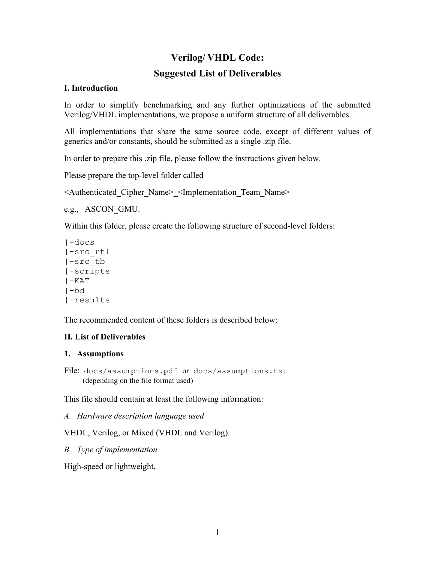# **Verilog/ VHDL Code:**

# **Suggested List of Deliverables**

#### **I. Introduction**

In order to simplify benchmarking and any further optimizations of the submitted Verilog/VHDL implementations, we propose a uniform structure of all deliverables.

All implementations that share the same source code, except of different values of generics and/or constants, should be submitted as a single .zip file.

In order to prepare this .zip file, please follow the instructions given below.

Please prepare the top-level folder called

<Authenticated\_Cipher\_Name>\_<Implementation\_Team\_Name>

```
e.g., ASCON_GMU.
```
Within this folder, please create the following structure of second-level folders:

```
|-docs
|-src_rtl
|-src_tb
|-scripts
|-KATl-bd
|-results
```
The recommended content of these folders is described below:

## **II. List of Deliverables**

#### **1. Assumptions**

File: docs/assumptions.pdf or docs/assumptions.txt (depending on the file format used)

This file should contain at least the following information:

*A. Hardware description language used*

VHDL, Verilog, or Mixed (VHDL and Verilog).

*B. Type of implementation*

High-speed or lightweight.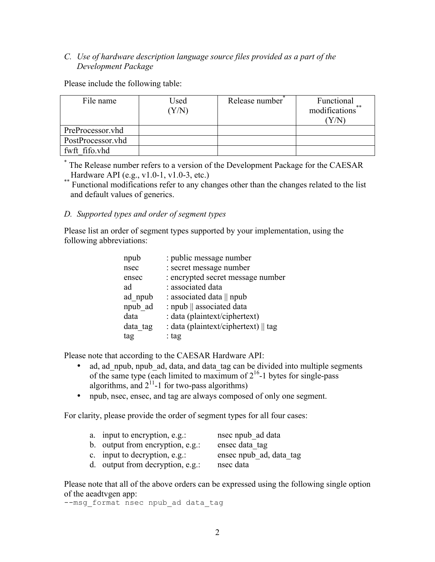## *C. Use of hardware description language source files provided as a part of the Development Package*

Please include the following table:

| File name         | Used<br>(Y/N) | Release number | Functional<br>modifications** |
|-------------------|---------------|----------------|-------------------------------|
| PreProcessor.vhd  |               |                |                               |
| PostProcessor.vhd |               |                |                               |
| fwft fifo.yhd     |               |                |                               |

\* The Release number refers to a version of the Development Package for the CAESAR

Hardware API (e.g., v1.0-1, v1.0-3, etc.) \*\* Functional modifications refer to any changes other than the changes related to the list and default values of generics.

#### *D. Supported types and order of segment types*

Please list an order of segment types supported by your implementation, using the following abbreviations:

| : public message number              |
|--------------------------------------|
| : secret message number              |
| : encrypted secret message number    |
| : associated data                    |
| : associated data    npub            |
| : npub    associated data            |
| : data (plaintext/ciphertext)        |
| : data (plaintext/ciphertext)    tag |
| : tag                                |
|                                      |

Please note that according to the CAESAR Hardware API:

- ad, ad npub, npub ad, data, and data tag can be divided into multiple segments of the same type (each limited to maximum of  $2^{16}$ -1 bytes for single-pass algorithms, and  $2^{11}$ -1 for two-pass algorithms)
- npub, nsec, ensec, and tag are always composed of only one segment.

For clarity, please provide the order of segment types for all four cases:

| nsec npub_ad data<br>a. input to encryption, e.g.: |
|----------------------------------------------------|
|----------------------------------------------------|

b. output from encryption, e.g.: ensec data tag

- c. input to decryption, e.g.: ensec npub\_ad, data\_tag
- -
- d. output from decryption, e.g.: nsec data

Please note that all of the above orders can be expressed using the following single option of the aeadtvgen app:

--msg\_format nsec npub\_ad data tag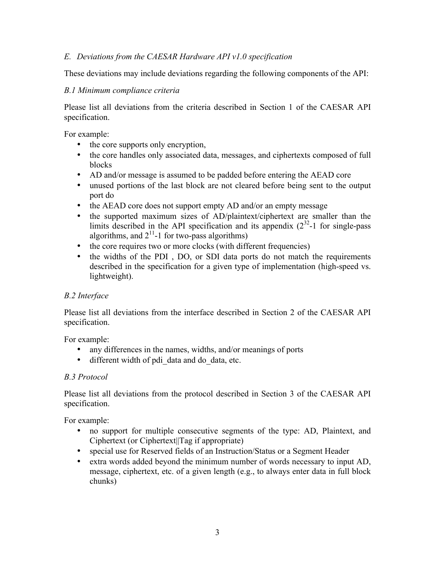## *E. Deviations from the CAESAR Hardware API v1.0 specification*

These deviations may include deviations regarding the following components of the API:

#### *B.1 Minimum compliance criteria*

Please list all deviations from the criteria described in Section 1 of the CAESAR API specification.

For example:

- the core supports only encryption,
- the core handles only associated data, messages, and ciphertexts composed of full blocks
- AD and/or message is assumed to be padded before entering the AEAD core
- unused portions of the last block are not cleared before being sent to the output port do
- the AEAD core does not support empty AD and/or an empty message
- the supported maximum sizes of AD/plaintext/ciphertext are smaller than the limits described in the API specification and its appendix  $(2^{32} - 1)$  for single-pass algorithms, and  $2^{11}$ -1 for two-pass algorithms)
- the core requires two or more clocks (with different frequencies)
- the widths of the PDI, DO, or SDI data ports do not match the requirements described in the specification for a given type of implementation (high-speed vs. lightweight).

## *B.2 Interface*

Please list all deviations from the interface described in Section 2 of the CAESAR API specification.

For example:

- any differences in the names, widths, and/or meanings of ports
- different width of pdi data and do data, etc.

## *B.3 Protocol*

Please list all deviations from the protocol described in Section 3 of the CAESAR API specification.

For example:

- no support for multiple consecutive segments of the type: AD, Plaintext, and Ciphertext (or Ciphertext||Tag if appropriate)
- special use for Reserved fields of an Instruction/Status or a Segment Header
- extra words added beyond the minimum number of words necessary to input AD, message, ciphertext, etc. of a given length (e.g., to always enter data in full block chunks)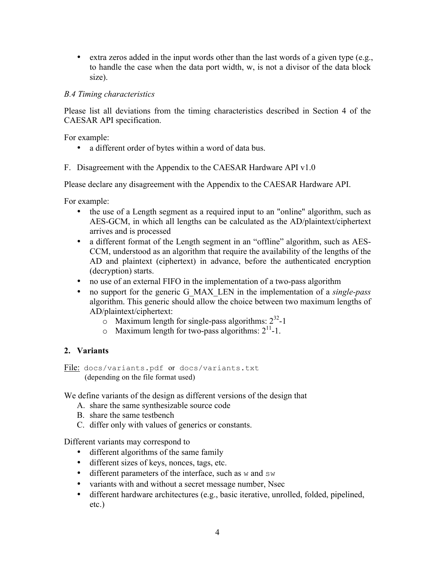• extra zeros added in the input words other than the last words of a given type  $(e.g.,)$ to handle the case when the data port width, w, is not a divisor of the data block size).

#### *B.4 Timing characteristics*

Please list all deviations from the timing characteristics described in Section 4 of the CAESAR API specification.

For example:

- a different order of bytes within a word of data bus.
- F. Disagreement with the Appendix to the CAESAR Hardware API v1.0

Please declare any disagreement with the Appendix to the CAESAR Hardware API.

For example:

- the use of a Length segment as a required input to an "online" algorithm, such as AES-GCM, in which all lengths can be calculated as the AD/plaintext/ciphertext arrives and is processed
- a different format of the Length segment in an "offline" algorithm, such as AES-CCM, understood as an algorithm that require the availability of the lengths of the AD and plaintext (ciphertext) in advance, before the authenticated encryption (decryption) starts.
- no use of an external FIFO in the implementation of a two-pass algorithm
- no support for the generic G\_MAX\_LEN in the implementation of a *single-pass* algorithm. This generic should allow the choice between two maximum lengths of AD/plaintext/ciphertext:
	- $\circ$  Maximum length for single-pass algorithms:  $2^{32}$ -1
	- $\circ$  Maximum length for two-pass algorithms:  $2^{11}$ -1.

## **2. Variants**

File: docs/variants.pdf or docs/variants.txt (depending on the file format used)

We define variants of the design as different versions of the design that

- A. share the same synthesizable source code
- B. share the same testbench
- C. differ only with values of generics or constants.

Different variants may correspond to

- different algorithms of the same family
- different sizes of keys, nonces, tags, etc.
- different parameters of the interface, such as  $w$  and  $sw$
- variants with and without a secret message number, Nsec
- different hardware architectures (e.g., basic iterative, unrolled, folded, pipelined, etc.)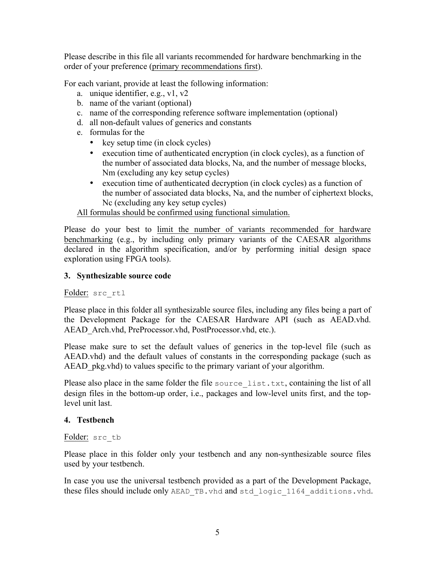Please describe in this file all variants recommended for hardware benchmarking in the order of your preference (primary recommendations first).

For each variant, provide at least the following information:

- a. unique identifier, e.g., v1, v2
- b. name of the variant (optional)
- c. name of the corresponding reference software implementation (optional)
- d. all non-default values of generics and constants
- e. formulas for the
	- key setup time (in clock cycles)
	- execution time of authenticated encryption (in clock cycles), as a function of the number of associated data blocks, Na, and the number of message blocks, Nm (excluding any key setup cycles)
	- execution time of authenticated decryption (in clock cycles) as a function of the number of associated data blocks, Na, and the number of ciphertext blocks, Nc (excluding any key setup cycles)

All formulas should be confirmed using functional simulation.

Please do your best to limit the number of variants recommended for hardware benchmarking (e.g., by including only primary variants of the CAESAR algorithms declared in the algorithm specification, and/or by performing initial design space exploration using FPGA tools).

## **3. Synthesizable source code**

Folder: src\_rtl

Please place in this folder all synthesizable source files, including any files being a part of the Development Package for the CAESAR Hardware API (such as AEAD.vhd. AEAD Arch.vhd, PreProcessor.vhd, PostProcessor.vhd, etc.).

Please make sure to set the default values of generics in the top-level file (such as AEAD.vhd) and the default values of constants in the corresponding package (such as AEAD pkg.vhd) to values specific to the primary variant of your algorithm.

Please also place in the same folder the file source  $list.txt$ , containing the list of all design files in the bottom-up order, i.e., packages and low-level units first, and the toplevel unit last.

## **4. Testbench**

#### Folder: src\_tb

Please place in this folder only your testbench and any non-synthesizable source files used by your testbench.

In case you use the universal testbench provided as a part of the Development Package, these files should include only AEAD TB. vhd and std logic 1164 additions. vhd.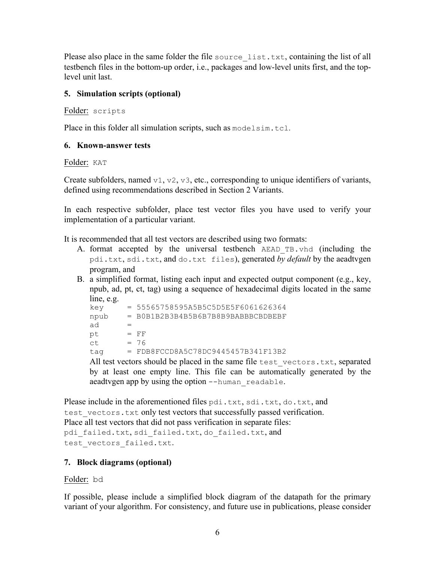Please also place in the same folder the file source list.txt, containing the list of all testbench files in the bottom-up order, i.e., packages and low-level units first, and the toplevel unit last.

## **5. Simulation scripts (optional)**

Folder: scripts

Place in this folder all simulation scripts, such as modelsim.tcl.

## **6. Known-answer tests**

Folder: KAT

Create subfolders, named  $v1, v2, v3$ , etc., corresponding to unique identifiers of variants, defined using recommendations described in Section 2 Variants.

In each respective subfolder, place test vector files you have used to verify your implementation of a particular variant.

It is recommended that all test vectors are described using two formats:

- A. format accepted by the universal testbench AEAD\_TB.vhd (including the pdi.txt, sdi.txt, and do.txt files), generated *by default* by the aeadtvgen program, and
- B. a simplified format, listing each input and expected output component (e.g., key, npub, ad, pt, ct, tag) using a sequence of hexadecimal digits located in the same line, e.g.

| key                                                                                |  | $= 55565758595A5B5C5D5E5F6061626364$ |  |  |
|------------------------------------------------------------------------------------|--|--------------------------------------|--|--|
| npub                                                                               |  | = B0B1B2B3B4B5B6B7B8B9BABBBCBDBEBF   |  |  |
| ad                                                                                 |  |                                      |  |  |
| pt                                                                                 |  | $=$ FF                               |  |  |
| ct.                                                                                |  | $= 76$                               |  |  |
| taq                                                                                |  | $= FDB8FCCD8A5C78DC9445457B341F13B2$ |  |  |
| All test vectors should be placed in the same file $\pm$ $\approx$ $\pm$ $\approx$ |  |                                      |  |  |

All test vectors should be placed in the same file test\_vectors.txt, separated by at least one empty line. This file can be automatically generated by the aeadtvgen app by using the option --human readable.

Please include in the aforementioned files pdi.txt, sdi.txt, do.txt, and test vectors. txt only test vectors that successfully passed verification. Place all test vectors that did not pass verification in separate files: pdi failed.txt, sdi failed.txt, do failed.txt, and test vectors failed.txt.

## **7. Block diagrams (optional)**

Folder: bd

If possible, please include a simplified block diagram of the datapath for the primary variant of your algorithm. For consistency, and future use in publications, please consider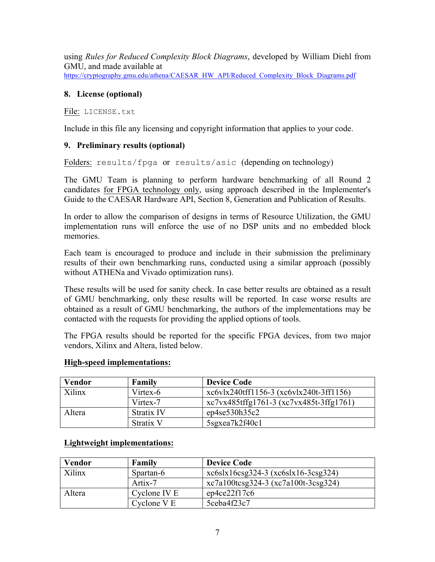using *Rules for Reduced Complexity Block Diagrams*, developed by William Diehl from GMU, and made available at https://cryptography.gmu.edu/athena/CAESAR\_HW\_API/Reduced\_Complexity\_Block\_Diagrams.pdf

#### **8. License (optional)**

File: LICENSE.txt

Include in this file any licensing and copyright information that applies to your code.

#### **9. Preliminary results (optional)**

Folders: results/fpga or results/asic (depending on technology)

The GMU Team is planning to perform hardware benchmarking of all Round 2 candidates for FPGA technology only, using approach described in the Implementer's Guide to the CAESAR Hardware API, Section 8, Generation and Publication of Results.

In order to allow the comparison of designs in terms of Resource Utilization, the GMU implementation runs will enforce the use of no DSP units and no embedded block memories.

Each team is encouraged to produce and include in their submission the preliminary results of their own benchmarking runs, conducted using a similar approach (possibly without ATHENa and Vivado optimization runs).

These results will be used for sanity check. In case better results are obtained as a result of GMU benchmarking, only these results will be reported. In case worse results are obtained as a result of GMU benchmarking, the authors of the implementations may be contacted with the requests for providing the applied options of tools.

The FPGA results should be reported for the specific FPGA devices, from two major vendors, Xilinx and Altera, listed below.

| Vendor | Family     | <b>Device Code</b>                      |
|--------|------------|-----------------------------------------|
| Xilinx | Virtex-6   | xc6vlx240tff1156-3 (xc6vlx240t-3ff1156) |
|        | Virtex-7   | xc7vx485tffg1761-3 (xc7vx485t-3ffg1761) |
| Altera | Stratix IV | ep4se530h35c2                           |
|        | Stratix V  | 5sgxea7k2f40c1                          |

#### **High-speed implementations:**

## **Lightweight implementations:**

| <b>Vendor</b> | Family       | <b>Device Code</b>                   |
|---------------|--------------|--------------------------------------|
| Xilinx        | Spartan-6    | $xc6s1s16csg324-3(xc6s1x16-3csg324)$ |
|               | Artix-7      | xc7a100tcsg324-3 (xc7a100t-3csg324)  |
| Altera        | Cyclone IV E | ep4ce22f17c6                         |
|               | Cyclone V E  | 5ceba4f23c7                          |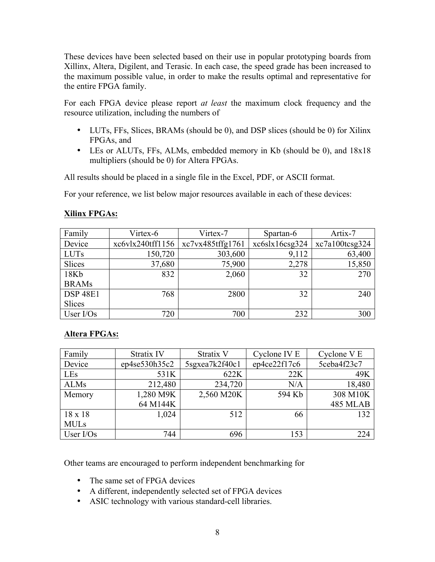These devices have been selected based on their use in popular prototyping boards from Xillinx, Altera, Digilent, and Terasic. In each case, the speed grade has been increased to the maximum possible value, in order to make the results optimal and representative for the entire FPGA family.

For each FPGA device please report *at least* the maximum clock frequency and the resource utilization, including the numbers of

- LUTs, FFs, Slices, BRAMs (should be 0), and DSP slices (should be 0) for Xilinx FPGAs, and
- LEs or ALUTs, FFs, ALMs, embedded memory in Kb (should be 0), and 18x18 multipliers (should be 0) for Altera FPGAs.

All results should be placed in a single file in the Excel, PDF, or ASCII format.

For your reference, we list below major resources available in each of these devices:

| <b>Xilinx FPGAs:</b> |
|----------------------|
|----------------------|

| Family          | Virtex-6         | Virtex-7         | Spartan-6      | Artix-7        |
|-----------------|------------------|------------------|----------------|----------------|
| Device          | xc6vlx240tff1156 | xc7vx485tffg1761 | xc6s1s16csg324 | xc7a100tcsg324 |
| <b>LUTs</b>     | 150,720          | 303,600          | 9,112          | 63,400         |
| Slices          | 37,680           | 75,900           | 2,278          | 15,850         |
| 18Kb            | 832              | 2,060            | 32             | 270            |
| <b>BRAMs</b>    |                  |                  |                |                |
| <b>DSP 48E1</b> | 768              | 2800             | 32             | 240            |
| Slices          |                  |                  |                |                |
| User $I/Os$     | 720              | 700              | 232            | 300            |

## **Altera FPGAs:**

| Family         | Stratix IV    | Stratix V      | Cyclone IV E | Cyclone V E |
|----------------|---------------|----------------|--------------|-------------|
| Device         | ep4se530h35c2 | 5sgxea7k2f40c1 | ep4ce22f17c6 | 5ceba4f23c7 |
| LEs            | 531K          | 622K           | 22K          | 49K         |
| <b>ALMs</b>    | 212,480       | 234,720        | N/A          | 18,480      |
| Memory         | 1,280 M9K     | 2,560 M20K     | 594 Kb       | 308 M10K    |
|                | 64 M144K      |                |              | 485 MLAB    |
| $18 \times 18$ | 1,024         | 512            | 66           | 132         |
| <b>MULs</b>    |               |                |              |             |
| User $I/Os$    | 744           | 696            | 153          | 224         |

Other teams are encouraged to perform independent benchmarking for

- The same set of FPGA devices
- A different, independently selected set of FPGA devices
- ASIC technology with various standard-cell libraries.